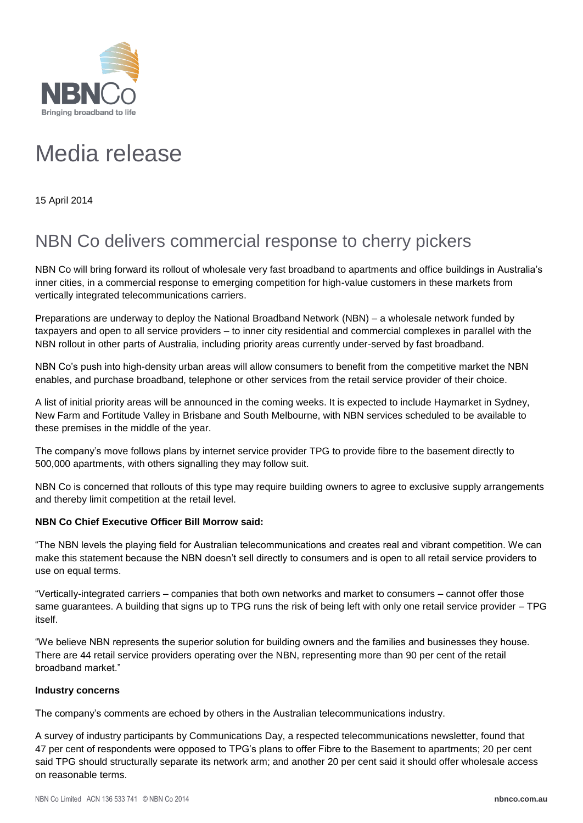

## Media release

15 April 2014

## NBN Co delivers commercial response to cherry pickers

NBN Co will bring forward its rollout of wholesale very fast broadband to apartments and office buildings in Australia's inner cities, in a commercial response to emerging competition for high-value customers in these markets from vertically integrated telecommunications carriers.

Preparations are underway to deploy the National Broadband Network (NBN) – a wholesale network funded by taxpayers and open to all service providers – to inner city residential and commercial complexes in parallel with the NBN rollout in other parts of Australia, including priority areas currently under-served by fast broadband.

NBN Co's push into high-density urban areas will allow consumers to benefit from the competitive market the NBN enables, and purchase broadband, telephone or other services from the retail service provider of their choice.

A list of initial priority areas will be announced in the coming weeks. It is expected to include Haymarket in Sydney, New Farm and Fortitude Valley in Brisbane and South Melbourne, with NBN services scheduled to be available to these premises in the middle of the year.

The company's move follows plans by internet service provider TPG to provide fibre to the basement directly to 500,000 apartments, with others signalling they may follow suit.

NBN Co is concerned that rollouts of this type may require building owners to agree to exclusive supply arrangements and thereby limit competition at the retail level.

## **NBN Co Chief Executive Officer Bill Morrow said:**

"The NBN levels the playing field for Australian telecommunications and creates real and vibrant competition. We can make this statement because the NBN doesn't sell directly to consumers and is open to all retail service providers to use on equal terms.

"Vertically-integrated carriers – companies that both own networks and market to consumers – cannot offer those same guarantees. A building that signs up to TPG runs the risk of being left with only one retail service provider – TPG itself.

"We believe NBN represents the superior solution for building owners and the families and businesses they house. There are 44 retail service providers operating over the NBN, representing more than 90 per cent of the retail broadband market."

## **Industry concerns**

The company's comments are echoed by others in the Australian telecommunications industry.

A survey of industry participants by Communications Day, a respected telecommunications newsletter, found that 47 per cent of respondents were opposed to TPG's plans to offer Fibre to the Basement to apartments; 20 per cent said TPG should structurally separate its network arm; and another 20 per cent said it should offer wholesale access on reasonable terms.